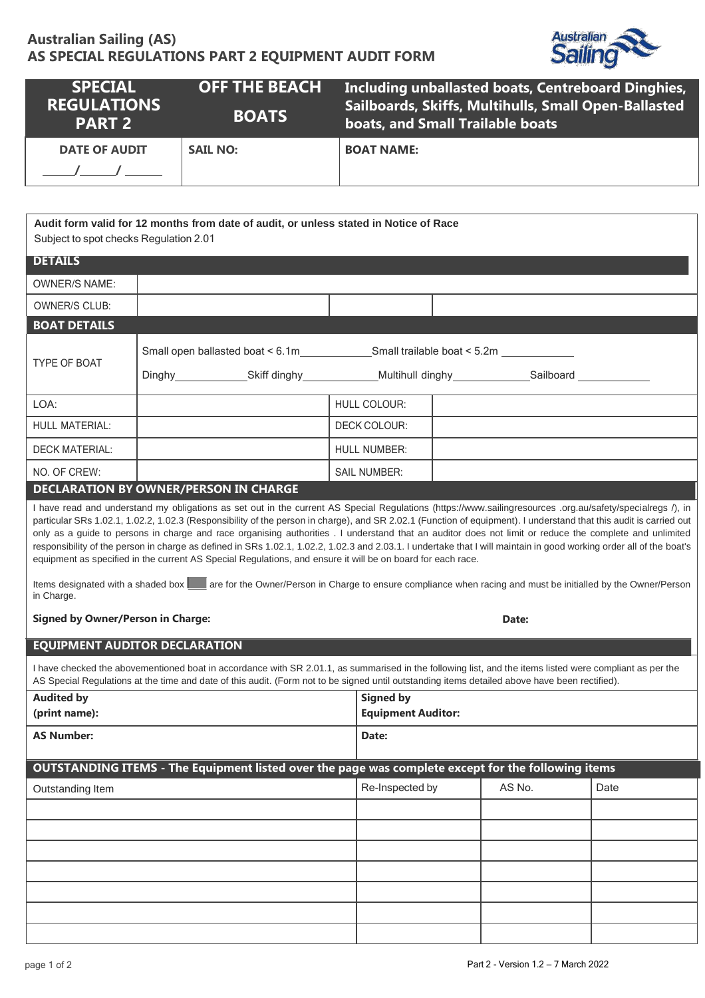# **Australian Sailing (AS) AS SPECIAL REGULATIONS PART 2 EQUIPMENT AUDIT FORM**



| <b>SPECIAL</b><br><b>REGULATIONS</b><br><b>PART 2</b> | <b>OFF THE BEACH</b><br><b>BOATS</b> | Including unballasted boats, Centreboard Dinghies,<br>Sailboards, Skiffs, Multihulls, Small Open-Ballasted<br><b>boats, and Small Trailable boats</b> |
|-------------------------------------------------------|--------------------------------------|-------------------------------------------------------------------------------------------------------------------------------------------------------|
| <b>DATE OF AUDIT</b>                                  | <b>SAIL NO:</b>                      | <b>BOAT NAME:</b>                                                                                                                                     |

**Audit form valid for 12 months from date of audit, or unless stated in Notice of Race** Subject to spot checks Regulation 2.01

| <b>DETAILS</b>        |                     |  |
|-----------------------|---------------------|--|
| <b>OWNER/S NAME:</b>  |                     |  |
| <b>OWNER/S CLUB:</b>  |                     |  |
| <b>BOAT DETAILS</b>   |                     |  |
| <b>TYPE OF BOAT</b>   |                     |  |
| LOA:                  | <b>HULL COLOUR:</b> |  |
| <b>HULL MATERIAL:</b> | DECK COLOUR:        |  |
| <b>DECK MATERIAL:</b> | <b>HULL NUMBER:</b> |  |
| NO. OF CREW:          | <b>SAIL NUMBER:</b> |  |

## **DECLARATION BY OWNER/PERSON IN CHARGE**

I have read and understand my obligations as set out in the current AS Special Regulations (https://www.sailingresources .org.au/safety/specialregs /), in particular SRs 1.02.1, 1.02.2, 1.02.3 (Responsibility of the person in charge), and SR 2.02.1 (Function of equipment). I understand that this audit is carried out only as a guide to persons in charge and race organising authorities . I understand that an auditor does not limit or reduce the complete and unlimited responsibility of the person in charge as defined in SRs 1.02.1, 1.02.2, 1.02.3 and 2.03.1. I undertake that I will maintain in good working order all of the boat's equipment as specified in the current AS Special Regulations, and ensure it will be on board for each race.

Items designated with a shaded box are for the Owner/Person in Charge to ensure compliance when racing and must be initialled by the Owner/Person in Charge.

#### **Signed** by Owner/Person in Charge:

## **EQUIPMENT AUDITOR DECLARATION**

I have checked the abovementioned boat in accordance with SR 2.01.1, as summarised in the following list, and the items listed were compliant as per the AS Special Regulations at the time and date of this audit. (Form not to be signed until outstanding items detailed above have been rectified).

| <b>Audited by</b><br>(print name):                                                                 | <b>Signed by</b><br><b>Equipment Auditor:</b> |        |      |  |  |  |
|----------------------------------------------------------------------------------------------------|-----------------------------------------------|--------|------|--|--|--|
| <b>AS Number:</b>                                                                                  | Date:                                         |        |      |  |  |  |
| OUTSTANDING ITEMS - The Equipment listed over the page was complete except for the following items |                                               |        |      |  |  |  |
| Outstanding Item                                                                                   | Re-Inspected by                               | AS No. | Date |  |  |  |
|                                                                                                    |                                               |        |      |  |  |  |
|                                                                                                    |                                               |        |      |  |  |  |
|                                                                                                    |                                               |        |      |  |  |  |
|                                                                                                    |                                               |        |      |  |  |  |
|                                                                                                    |                                               |        |      |  |  |  |
|                                                                                                    |                                               |        |      |  |  |  |
|                                                                                                    |                                               |        |      |  |  |  |